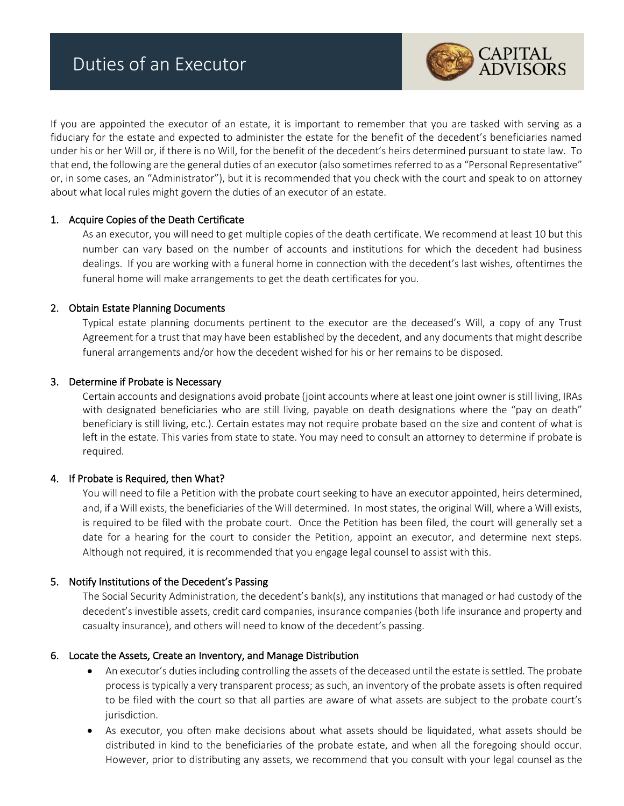

If you are appointed the executor of an estate, it is important to remember that you are tasked with serving as a fiduciary for the estate and expected to administer the estate for the benefit of the decedent's beneficiaries named under his or her Will or, if there is no Will, for the benefit of the decedent's heirs determined pursuant to state law. To that end, the following are the general duties of an executor (also sometimes referred to as a "Personal Representative" or, in some cases, an "Administrator"), but it is recommended that you check with the court and speak to on attorney about what local rules might govern the duties of an executor of an estate.

# 1. Acquire Copies of the Death Certificate

As an executor, you will need to get multiple copies of the death certificate. We recommend at least 10 but this number can vary based on the number of accounts and institutions for which the decedent had business dealings. If you are working with a funeral home in connection with the decedent's last wishes, oftentimes the funeral home will make arrangements to get the death certificates for you.

# 2. Obtain Estate Planning Documents

Typical estate planning documents pertinent to the executor are the deceased's Will, a copy of any Trust Agreement for a trust that may have been established by the decedent, and any documents that might describe funeral arrangements and/or how the decedent wished for his or her remains to be disposed.

# 3. Determine if Probate is Necessary

Certain accounts and designations avoid probate (joint accounts where at least one joint owner is still living, IRAs with designated beneficiaries who are still living, payable on death designations where the "pay on death" beneficiary is still living, etc.). Certain estates may not require probate based on the size and content of what is left in the estate. This varies from state to state. You may need to consult an attorney to determine if probate is required.

# 4. If Probate is Required, then What?

You will need to file a Petition with the probate court seeking to have an executor appointed, heirs determined, and, if a Will exists, the beneficiaries of the Will determined. In most states, the original Will, where a Will exists, is required to be filed with the probate court. Once the Petition has been filed, the court will generally set a date for a hearing for the court to consider the Petition, appoint an executor, and determine next steps. Although not required, it is recommended that you engage legal counsel to assist with this.

# 5. Notify Institutions of the Decedent's Passing

The Social Security Administration, the decedent's bank(s), any institutions that managed or had custody of the decedent's investible assets, credit card companies, insurance companies (both life insurance and property and casualty insurance), and others will need to know of the decedent's passing.

# 6. Locate the Assets, Create an Inventory, and Manage Distribution

- An executor's duties including controlling the assets of the deceased until the estate is settled. The probate process is typically a very transparent process; as such, an inventory of the probate assets is often required to be filed with the court so that all parties are aware of what assets are subject to the probate court's jurisdiction.
- As executor, you often make decisions about what assets should be liquidated, what assets should be distributed in kind to the beneficiaries of the probate estate, and when all the foregoing should occur. However, prior to distributing any assets, we recommend that you consult with your legal counsel as the